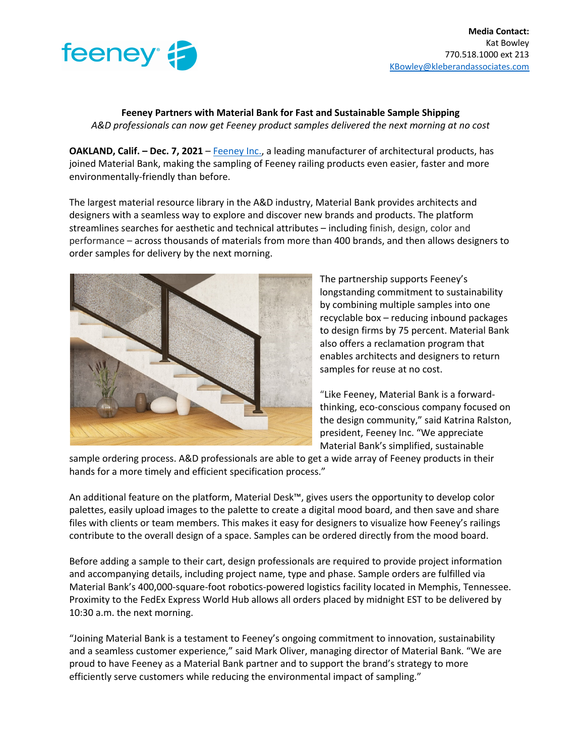

**Feeney Partners with Material Bank for Fast and Sustainable Sample Shipping** *A&D professionals can now get Feeney product samples delivered the next morning at no cost*

**OAKLAND, Calif. – Dec. 7, 2021 – Feeney Inc., a leading manufacturer of architectural products, has** joined Material Bank, making the sampling of Feeney railing products even easier, faster and more environmentally-friendly than before.

The largest material resource library in the A&D industry, Material Bank provides architects and designers with a seamless way to explore and discover new brands and products. The platform streamlines searches for aesthetic and technical attributes – including finish, design, color and performance – across thousands of materials from more than 400 brands, and then allows designers to order samples for delivery by the next morning.



The partnership supports Feeney's longstanding commitment to sustainability by combining multiple samples into one recyclable box – reducing inbound packages to design firms by 75 percent. Material Bank also offers a reclamation program that enables architects and designers to return samples for reuse at no cost.

"Like Feeney, Material Bank is a forwardthinking, eco-conscious company focused on the design community," said Katrina Ralston, president, Feeney Inc. "We appreciate Material Bank's simplified, sustainable

sample ordering process. A&D professionals are able to get a wide array of Feeney products in their hands for a more timely and efficient specification process."

An additional feature on the platform, Material Desk™, gives users the opportunity to develop color palettes, easily upload images to the palette to create a digital mood board, and then save and share files with clients or team members. This makes it easy for designers to visualize how Feeney's railings contribute to the overall design of a space. Samples can be ordered directly from the mood board.

Before adding a sample to their cart, design professionals are required to provide project information and accompanying details, including project name, type and phase. Sample orders are fulfilled via Material Bank's 400,000-square-foot robotics-powered logistics facility located in Memphis, Tennessee. Proximity to the FedEx Express World Hub allows all orders placed by midnight EST to be delivered by 10:30 a.m. the next morning.

"Joining Material Bank is a testament to Feeney's ongoing commitment to innovation, sustainability and a seamless customer experience," said Mark Oliver, managing director of Material Bank. "We are proud to have Feeney as a Material Bank partner and to support the brand's strategy to more efficiently serve customers while reducing the environmental impact of sampling."